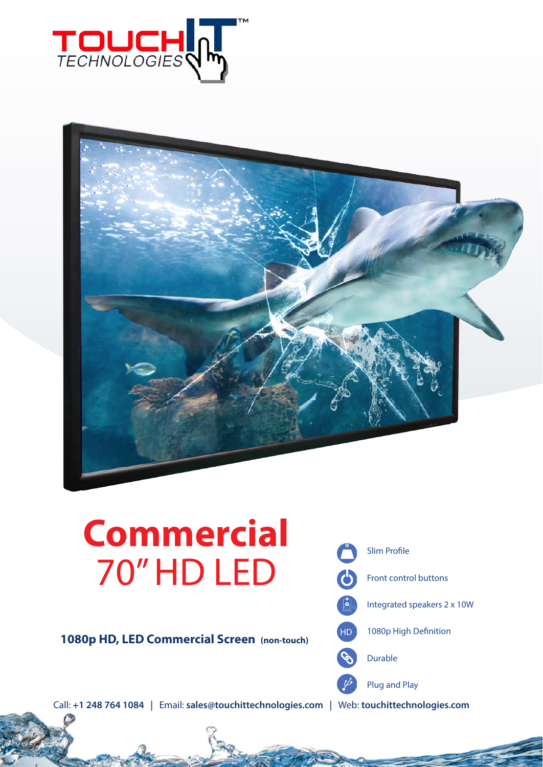



# **Commercial** 70" HD LED

**1080p HD, LED Commercial Screen (non-touch)**



Call: **+1 248 764 1084 |** Email: **sales@touchittechnologies.com |** Web: **touchittechnologies.com**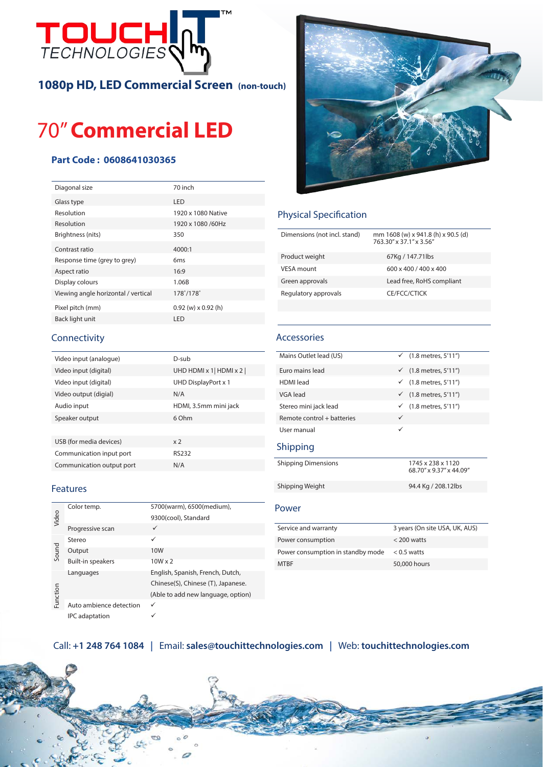

**1080p HD, LED Commercial Screen (non-touch)**

# 70" **Commercial LED**

### **Part Code : 0608641030365**

| Diagonal size                       | 70 inch                 |
|-------------------------------------|-------------------------|
| Glass type                          | LED                     |
| Resolution                          | 1920 x 1080 Native      |
| Resolution                          | 1920 x 1080 /60Hz       |
| Brightness (nits)                   | 350                     |
| Contrast ratio                      | 4000:1                  |
| Response time (grey to grey)        | 6 <sub>ms</sub>         |
| Aspect ratio                        | 16:9                    |
| Display colours                     | 1.06B                   |
| Viewing angle horizontal / vertical | 178°/178°               |
| Pixel pitch (mm)                    | $0.92$ (w) x $0.92$ (h) |
| Back light unit                     | LED                     |
|                                     |                         |



| Video input (analogue)    | D-sub                   |
|---------------------------|-------------------------|
| Video input (digital)     | UHD HDMI x 1   HDMI x 2 |
| Video input (digital)     | UHD DisplayPort x 1     |
| Video output (digial)     | N/A                     |
| Audio input               | HDMI, 3.5mm mini jack   |
| Speaker output            | 6 Ohm                   |
|                           |                         |
| USB (for media devices)   | x <sub>2</sub>          |
| Communication input port  | RS232                   |
| Communication output port | N/A                     |
|                           |                         |

#### **Features**

| Video    | Color temp.              | 5700(warm), 6500(medium),          |
|----------|--------------------------|------------------------------------|
|          |                          | 9300(cool), Standard               |
|          | Progressive scan         | ✓                                  |
| Sound    | Stereo                   | ✓                                  |
|          | Output                   | 10W                                |
|          | <b>Built-in speakers</b> | $10W \times 2$                     |
| Function | Languages                | English, Spanish, French, Dutch,   |
|          |                          | Chinese(S), Chinese (T), Japanese. |
|          |                          | (Able to add new language, option) |
|          | Auto ambience detection  |                                    |
|          | <b>IPC</b> adaptation    |                                    |



### Physical Specification

| Dimensions (not incl. stand) | mm 1608 (w) x 941.8 (h) x 90.5 (d)<br>763.30" x 37.1" x 3.56" |
|------------------------------|---------------------------------------------------------------|
| Product weight               | 67Kg / 147.71lbs                                              |
| VESA mount                   | 600 x 400 / 400 x 400                                         |
| Green approvals              | Lead free, RoHS compliant                                     |
| Regulatory approvals         | CE/FCC/CTICK                                                  |
|                              |                                                               |

#### Accessories

| Mains Outlet lead (US)     | $(1.8$ metres, $5'11'$<br>$\checkmark$       |
|----------------------------|----------------------------------------------|
| Euro mains lead            | $(1.8$ metres, $5'11'$<br>$\checkmark$       |
| <b>HDMI</b> lead           | $(1.8$ metres, $5'11'$<br>✓                  |
| VGA lead                   | $(1.8$ metres, $5'11'$<br>✓                  |
| Stereo mini jack lead      | $(1.8$ metres, $5'11'$                       |
| Remote control + batteries | $\checkmark$                                 |
| User manual                | ✓                                            |
| Shipping                   |                                              |
| <b>Shipping Dimensions</b> | 1745 x 238 x 1120<br>68.70" x 9.37" x 44.09" |
| Shipping Weight            | 94.4 Kg / 208.12lbs                          |
| Power                      |                                              |
| Service and warranty       | 3 years (On site USA, UK, AUS)               |
| Power consumption          | $<$ 200 watts                                |

Power consumption in standby mode < 0.5 watts MTBF 50,000 hours

## Call: **+1 248 764 1084 |** Email: **sales@touchittechnologies.com |** Web: **touchittechnologies.com**